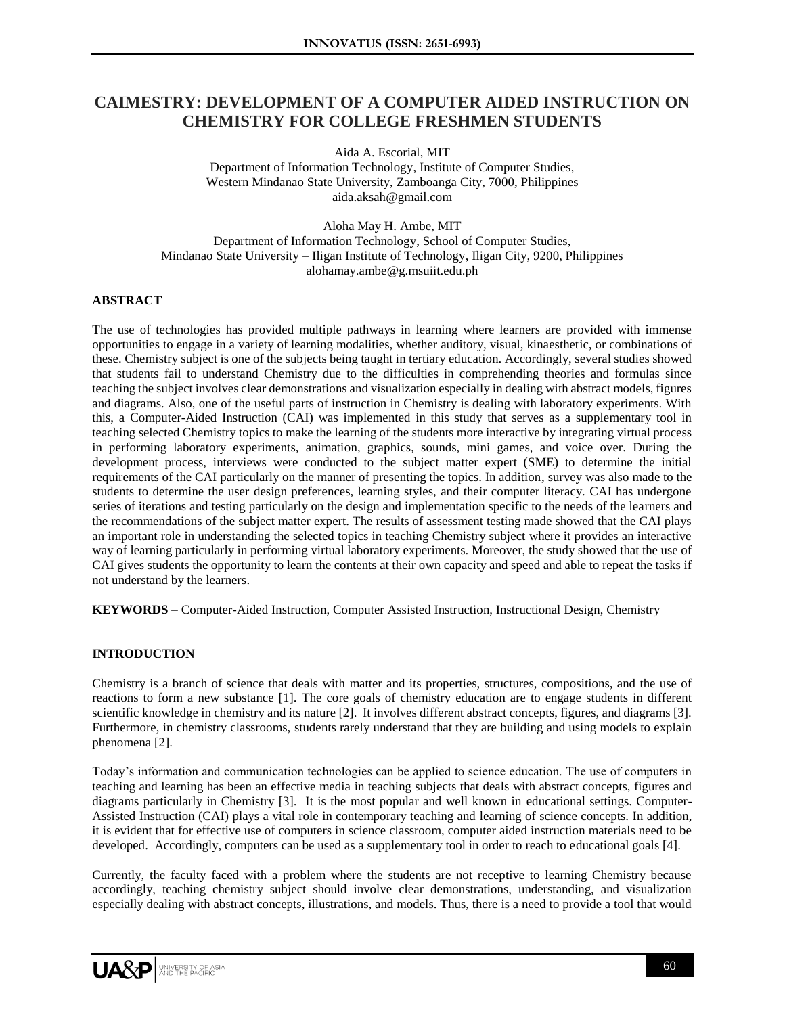# **CAIMESTRY: DEVELOPMENT OF A COMPUTER AIDED INSTRUCTION ON CHEMISTRY FOR COLLEGE FRESHMEN STUDENTS**

Aida A. Escorial, MIT

Department of Information Technology, Institute of Computer Studies, Western Mindanao State University, Zamboanga City, 7000, Philippines aida.aksah@gmail.com

Aloha May H. Ambe, MIT Department of Information Technology, School of Computer Studies, Mindanao State University – Iligan Institute of Technology, Iligan City, 9200, Philippines alohamay.ambe@g.msuiit.edu.ph

## **ABSTRACT**

The use of technologies has provided multiple pathways in learning where learners are provided with immense opportunities to engage in a variety of learning modalities, whether auditory, visual, kinaesthetic, or combinations of these. Chemistry subject is one of the subjects being taught in tertiary education. Accordingly, several studies showed that students fail to understand Chemistry due to the difficulties in comprehending theories and formulas since teaching the subject involves clear demonstrations and visualization especially in dealing with abstract models, figures and diagrams. Also, one of the useful parts of instruction in Chemistry is dealing with laboratory experiments. With this, a Computer-Aided Instruction (CAI) was implemented in this study that serves as a supplementary tool in teaching selected Chemistry topics to make the learning of the students more interactive by integrating virtual process in performing laboratory experiments, animation, graphics, sounds, mini games, and voice over. During the development process, interviews were conducted to the subject matter expert (SME) to determine the initial requirements of the CAI particularly on the manner of presenting the topics. In addition, survey was also made to the students to determine the user design preferences, learning styles, and their computer literacy. CAI has undergone series of iterations and testing particularly on the design and implementation specific to the needs of the learners and the recommendations of the subject matter expert. The results of assessment testing made showed that the CAI plays an important role in understanding the selected topics in teaching Chemistry subject where it provides an interactive way of learning particularly in performing virtual laboratory experiments. Moreover, the study showed that the use of CAI gives students the opportunity to learn the contents at their own capacity and speed and able to repeat the tasks if not understand by the learners.

**KEYWORDS** – Computer-Aided Instruction, Computer Assisted Instruction, Instructional Design, Chemistry

# **INTRODUCTION**

Chemistry is a branch of science that deals with matter and its properties, structures, compositions, and the use of reactions to form a new substance [1]. The core goals of chemistry education are to engage students in different scientific knowledge in chemistry and its nature [2]. It involves different abstract concepts, figures, and diagrams [3]. Furthermore, in chemistry classrooms, students rarely understand that they are building and using models to explain phenomena [2].

Today's information and communication technologies can be applied to science education. The use of computers in teaching and learning has been an effective media in teaching subjects that deals with abstract concepts, figures and diagrams particularly in Chemistry [3]. It is the most popular and well known in educational settings. Computer-Assisted Instruction (CAI) plays a vital role in contemporary teaching and learning of science concepts. In addition, it is evident that for effective use of computers in science classroom, computer aided instruction materials need to be developed. Accordingly, computers can be used as a supplementary tool in order to reach to educational goals [4].

Currently, the faculty faced with a problem where the students are not receptive to learning Chemistry because accordingly, teaching chemistry subject should involve clear demonstrations, understanding, and visualization especially dealing with abstract concepts, illustrations, and models. Thus, there is a need to provide a tool that would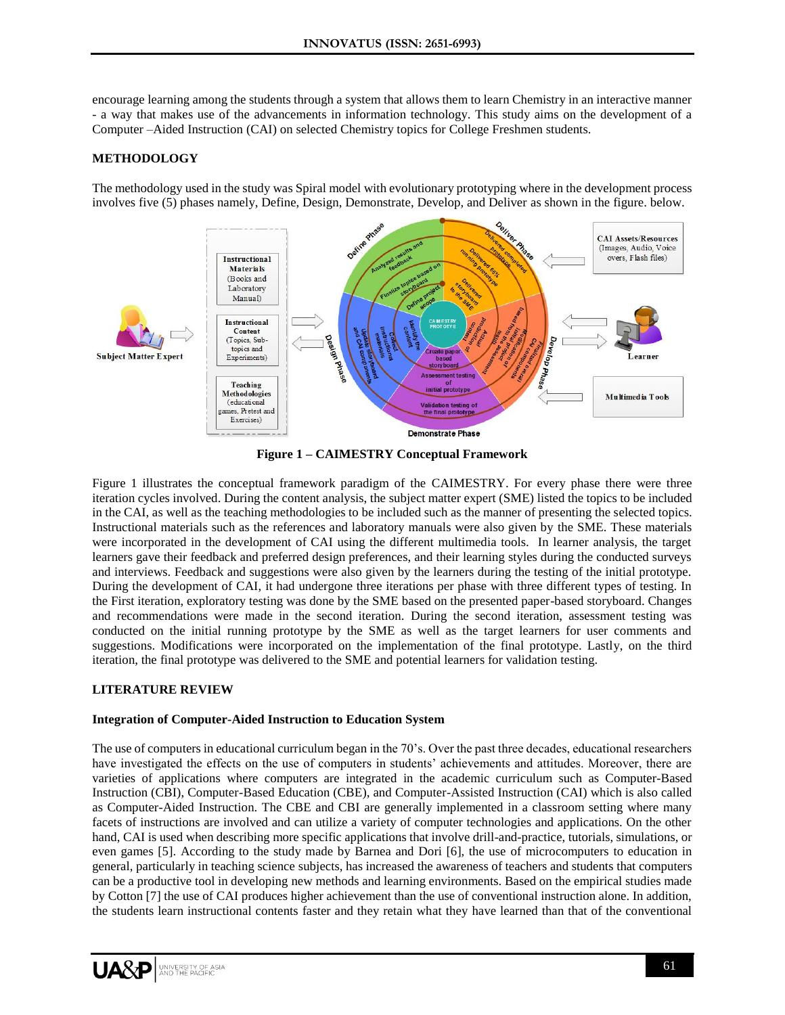encourage learning among the students through a system that allows them to learn Chemistry in an interactive manner - a way that makes use of the advancements in information technology. This study aims on the development of a Computer –Aided Instruction (CAI) on selected Chemistry topics for College Freshmen students.

## **METHODOLOGY**

The methodology used in the study was Spiral model with evolutionary prototyping where in the development process involves five (5) phases namely, Define, Design, Demonstrate, Develop, and Deliver as shown in the figure. below.



**Figure 1 – CAIMESTRY Conceptual Framework**

Figure 1 illustrates the conceptual framework paradigm of the CAIMESTRY. For every phase there were three iteration cycles involved. During the content analysis, the subject matter expert (SME) listed the topics to be included in the CAI, as well as the teaching methodologies to be included such as the manner of presenting the selected topics. Instructional materials such as the references and laboratory manuals were also given by the SME. These materials were incorporated in the development of CAI using the different multimedia tools. In learner analysis, the target learners gave their feedback and preferred design preferences, and their learning styles during the conducted surveys and interviews. Feedback and suggestions were also given by the learners during the testing of the initial prototype. During the development of CAI, it had undergone three iterations per phase with three different types of testing. In the First iteration, exploratory testing was done by the SME based on the presented paper-based storyboard. Changes and recommendations were made in the second iteration. During the second iteration, assessment testing was conducted on the initial running prototype by the SME as well as the target learners for user comments and suggestions. Modifications were incorporated on the implementation of the final prototype. Lastly, on the third iteration, the final prototype was delivered to the SME and potential learners for validation testing.

#### **LITERATURE REVIEW**

#### **Integration of Computer-Aided Instruction to Education System**

The use of computers in educational curriculum began in the 70's. Over the past three decades, educational researchers have investigated the effects on the use of computers in students' achievements and attitudes. Moreover, there are varieties of applications where computers are integrated in the academic curriculum such as Computer-Based Instruction (CBI), Computer-Based Education (CBE), and Computer-Assisted Instruction (CAI) which is also called as Computer-Aided Instruction. The CBE and CBI are generally implemented in a classroom setting where many facets of instructions are involved and can utilize a variety of computer technologies and applications. On the other hand, CAI is used when describing more specific applications that involve drill-and-practice, tutorials, simulations, or even games [5]. According to the study made by Barnea and Dori [6], the use of microcomputers to education in general, particularly in teaching science subjects, has increased the awareness of teachers and students that computers can be a productive tool in developing new methods and learning environments. Based on the empirical studies made by Cotton [7] the use of CAI produces higher achievement than the use of conventional instruction alone. In addition, the students learn instructional contents faster and they retain what they have learned than that of the conventional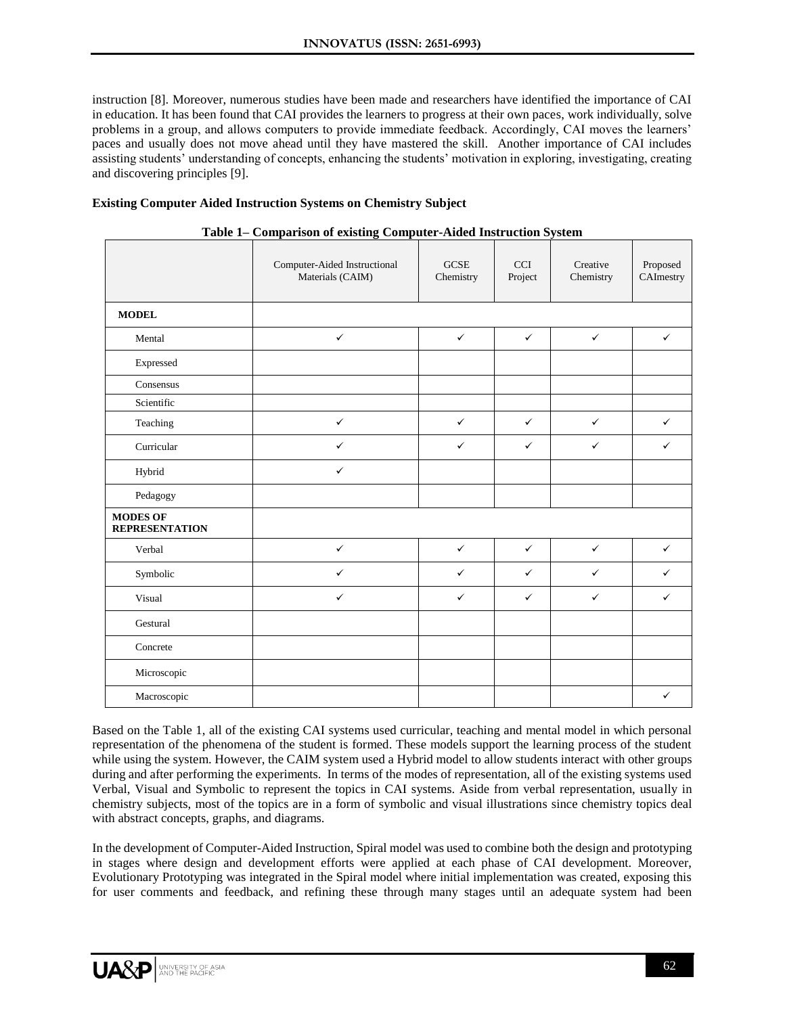instruction [8]. Moreover, numerous studies have been made and researchers have identified the importance of CAI in education. It has been found that CAI provides the learners to progress at their own paces, work individually, solve problems in a group, and allows computers to provide immediate feedback. Accordingly, CAI moves the learners' paces and usually does not move ahead until they have mastered the skill. Another importance of CAI includes assisting students' understanding of concepts, enhancing the students' motivation in exploring, investigating, creating and discovering principles [9].

# **Existing Computer Aided Instruction Systems on Chemistry Subject**

|                                          | Computer-Aided Instructional<br>Materials (CAIM) | <b>GCSE</b><br>Chemistry | <b>CCI</b><br>Project | Creative<br>Chemistry | Proposed<br>CAImestry |
|------------------------------------------|--------------------------------------------------|--------------------------|-----------------------|-----------------------|-----------------------|
| <b>MODEL</b>                             |                                                  |                          |                       |                       |                       |
| Mental                                   | $\checkmark$                                     | $\checkmark$             | $\checkmark$          | $\checkmark$          | $\checkmark$          |
| Expressed                                |                                                  |                          |                       |                       |                       |
| Consensus                                |                                                  |                          |                       |                       |                       |
| Scientific                               |                                                  |                          |                       |                       |                       |
| Teaching                                 | $\checkmark$                                     | $\checkmark$             | $\checkmark$          | $\checkmark$          | $\checkmark$          |
| Curricular                               | $\checkmark$                                     | $\checkmark$             | $\checkmark$          | $\checkmark$          | ✓                     |
| Hybrid                                   | $\checkmark$                                     |                          |                       |                       |                       |
| Pedagogy                                 |                                                  |                          |                       |                       |                       |
| <b>MODES OF</b><br><b>REPRESENTATION</b> |                                                  |                          |                       |                       |                       |
| Verbal                                   | $\checkmark$                                     | $\checkmark$             | $\checkmark$          | $\checkmark$          | $\checkmark$          |
| Symbolic                                 | ✓                                                | $\checkmark$             | $\checkmark$          | $\checkmark$          | ✓                     |
| Visual                                   | $\checkmark$                                     | $\checkmark$             | $\checkmark$          | $\checkmark$          | ✓                     |
| Gestural                                 |                                                  |                          |                       |                       |                       |
| Concrete                                 |                                                  |                          |                       |                       |                       |
| Microscopic                              |                                                  |                          |                       |                       |                       |
| Macroscopic                              |                                                  |                          |                       |                       | $\checkmark$          |

|  |  | Table 1– Comparison of existing Computer-Aided Instruction System |
|--|--|-------------------------------------------------------------------|
|  |  |                                                                   |
|  |  |                                                                   |

Based on the Table 1, all of the existing CAI systems used curricular, teaching and mental model in which personal representation of the phenomena of the student is formed. These models support the learning process of the student while using the system. However, the CAIM system used a Hybrid model to allow students interact with other groups during and after performing the experiments. In terms of the modes of representation, all of the existing systems used Verbal, Visual and Symbolic to represent the topics in CAI systems. Aside from verbal representation, usually in chemistry subjects, most of the topics are in a form of symbolic and visual illustrations since chemistry topics deal with abstract concepts, graphs, and diagrams.

In the development of Computer-Aided Instruction, Spiral model was used to combine both the design and prototyping in stages where design and development efforts were applied at each phase of CAI development. Moreover, Evolutionary Prototyping was integrated in the Spiral model where initial implementation was created, exposing this for user comments and feedback, and refining these through many stages until an adequate system had been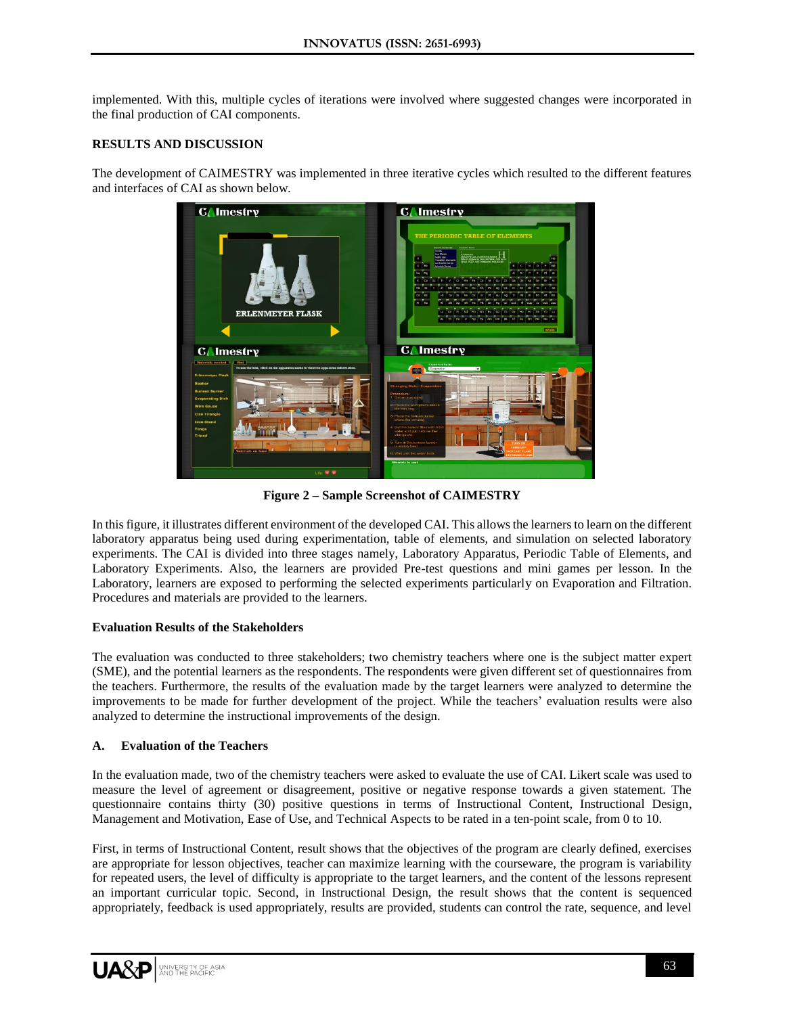implemented. With this, multiple cycles of iterations were involved where suggested changes were incorporated in the final production of CAI components.

## **RESULTS AND DISCUSSION**

The development of CAIMESTRY was implemented in three iterative cycles which resulted to the different features and interfaces of CAI as shown below.



**Figure 2 – Sample Screenshot of CAIMESTRY**

In this figure, it illustrates different environment of the developed CAI. This allows the learners to learn on the different laboratory apparatus being used during experimentation, table of elements, and simulation on selected laboratory experiments. The CAI is divided into three stages namely, Laboratory Apparatus, Periodic Table of Elements, and Laboratory Experiments. Also, the learners are provided Pre-test questions and mini games per lesson. In the Laboratory, learners are exposed to performing the selected experiments particularly on Evaporation and Filtration. Procedures and materials are provided to the learners.

#### **Evaluation Results of the Stakeholders**

The evaluation was conducted to three stakeholders; two chemistry teachers where one is the subject matter expert (SME), and the potential learners as the respondents. The respondents were given different set of questionnaires from the teachers. Furthermore, the results of the evaluation made by the target learners were analyzed to determine the improvements to be made for further development of the project. While the teachers' evaluation results were also analyzed to determine the instructional improvements of the design.

#### **A. Evaluation of the Teachers**

In the evaluation made, two of the chemistry teachers were asked to evaluate the use of CAI. Likert scale was used to measure the level of agreement or disagreement, positive or negative response towards a given statement. The questionnaire contains thirty (30) positive questions in terms of Instructional Content, Instructional Design, Management and Motivation, Ease of Use, and Technical Aspects to be rated in a ten-point scale, from 0 to 10.

First, in terms of Instructional Content, result shows that the objectives of the program are clearly defined, exercises are appropriate for lesson objectives, teacher can maximize learning with the courseware, the program is variability for repeated users, the level of difficulty is appropriate to the target learners, and the content of the lessons represent an important curricular topic. Second, in Instructional Design, the result shows that the content is sequenced appropriately, feedback is used appropriately, results are provided, students can control the rate, sequence, and level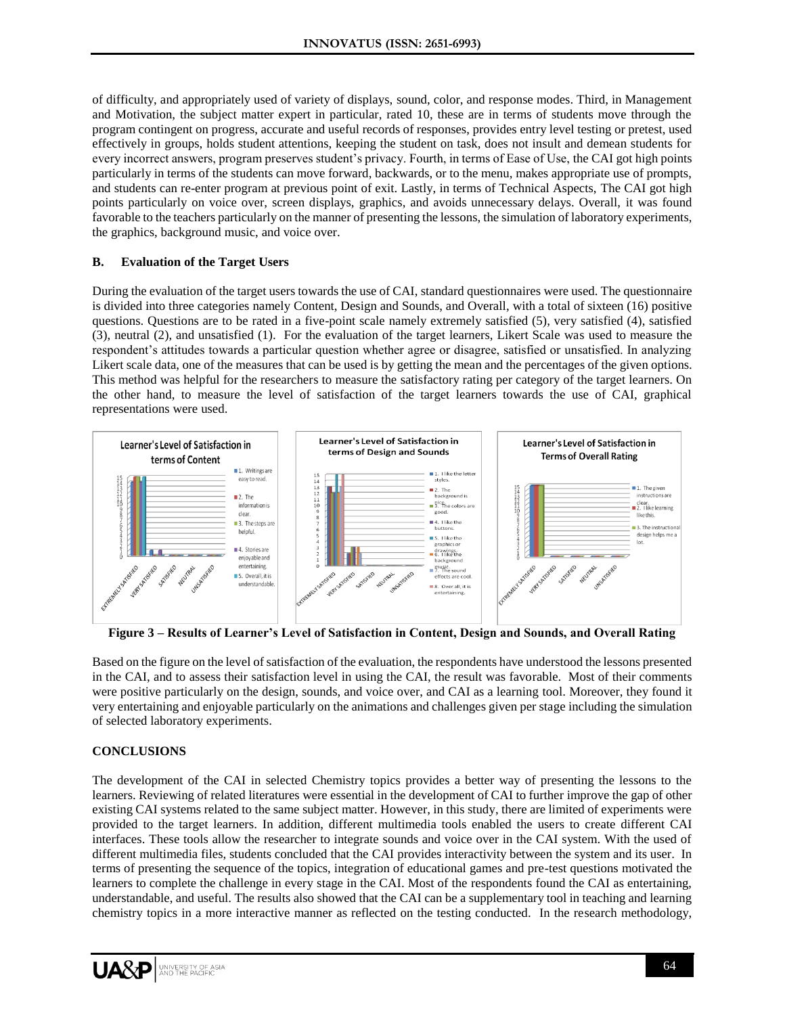of difficulty, and appropriately used of variety of displays, sound, color, and response modes. Third, in Management and Motivation, the subject matter expert in particular, rated 10, these are in terms of students move through the program contingent on progress, accurate and useful records of responses, provides entry level testing or pretest, used effectively in groups, holds student attentions, keeping the student on task, does not insult and demean students for every incorrect answers, program preserves student's privacy. Fourth, in terms of Ease of Use, the CAI got high points particularly in terms of the students can move forward, backwards, or to the menu, makes appropriate use of prompts, and students can re-enter program at previous point of exit. Lastly, in terms of Technical Aspects, The CAI got high points particularly on voice over, screen displays, graphics, and avoids unnecessary delays. Overall, it was found favorable to the teachers particularly on the manner of presenting the lessons, the simulation of laboratory experiments, the graphics, background music, and voice over.

#### **B. Evaluation of the Target Users**

During the evaluation of the target users towards the use of CAI, standard questionnaires were used. The questionnaire is divided into three categories namely Content, Design and Sounds, and Overall, with a total of sixteen (16) positive questions. Questions are to be rated in a five-point scale namely extremely satisfied (5), very satisfied (4), satisfied (3), neutral (2), and unsatisfied (1). For the evaluation of the target learners, Likert Scale was used to measure the respondent's attitudes towards a particular question whether agree or disagree, satisfied or unsatisfied. In analyzing Likert scale data, one of the measures that can be used is by getting the mean and the percentages of the given options. This method was helpful for the researchers to measure the satisfactory rating per category of the target learners. On the other hand, to measure the level of satisfaction of the target learners towards the use of CAI, graphical representations were used.



**Figure 3 – Results of Learner's Level of Satisfaction in Content, Design and Sounds, and Overall Rating**

Based on the figure on the level of satisfaction of the evaluation, the respondents have understood the lessons presented in the CAI, and to assess their satisfaction level in using the CAI, the result was favorable. Most of their comments were positive particularly on the design, sounds, and voice over, and CAI as a learning tool. Moreover, they found it very entertaining and enjoyable particularly on the animations and challenges given per stage including the simulation of selected laboratory experiments.

# **CONCLUSIONS**

The development of the CAI in selected Chemistry topics provides a better way of presenting the lessons to the learners. Reviewing of related literatures were essential in the development of CAI to further improve the gap of other existing CAI systems related to the same subject matter. However, in this study, there are limited of experiments were provided to the target learners. In addition, different multimedia tools enabled the users to create different CAI interfaces. These tools allow the researcher to integrate sounds and voice over in the CAI system. With the used of different multimedia files, students concluded that the CAI provides interactivity between the system and its user. In terms of presenting the sequence of the topics, integration of educational games and pre-test questions motivated the learners to complete the challenge in every stage in the CAI. Most of the respondents found the CAI as entertaining, understandable, and useful. The results also showed that the CAI can be a supplementary tool in teaching and learning chemistry topics in a more interactive manner as reflected on the testing conducted. In the research methodology,